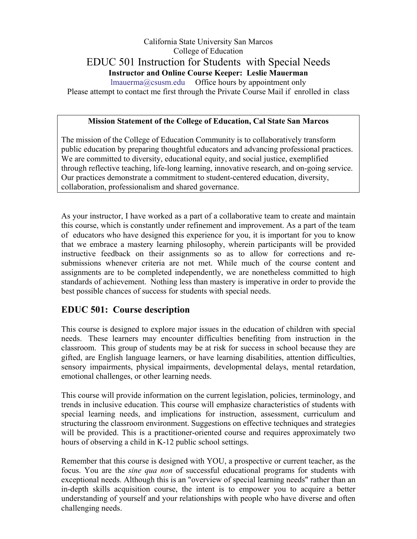# California State University San Marcos College of Education EDUC 501 Instruction for Students with Special Needs **Instructor and Online Course Keeper: Leslie Mauerman**  lmauerma@csusm.edu Office hours by appointment only

Please attempt to contact me first through the Private Course Mail if enrolled in class

#### **Mission Statement of the College of Education, Cal State San Marcos**

The mission of the College of Education Community is to collaboratively transform public education by preparing thoughtful educators and advancing professional practices. We are committed to diversity, educational equity, and social justice, exemplified through reflective teaching, life-long learning, innovative research, and on-going service. Our practices demonstrate a commitment to student-centered education, diversity, collaboration, professionalism and shared governance.

As your instructor, I have worked as a part of a collaborative team to create and maintain this course, which is constantly under refinement and improvement. As a part of the team of educators who have designed this experience for you, it is important for you to know that we embrace a mastery learning philosophy, wherein participants will be provided instructive feedback on their assignments so as to allow for corrections and resubmissions whenever criteria are not met. While much of the course content and assignments are to be completed independently, we are nonetheless committed to high standards of achievement. Nothing less than mastery is imperative in order to provide the best possible chances of success for students with special needs.

# **EDUC 501: Course description**

This course is designed to explore major issues in the education of children with special needs. These learners may encounter difficulties benefiting from instruction in the classroom. This group of students may be at risk for success in school because they are gifted, are English language learners, or have learning disabilities, attention difficulties, sensory impairments, physical impairments, developmental delays, mental retardation, emotional challenges, or other learning needs.

This course will provide information on the current legislation, policies, terminology, and trends in inclusive education. This course will emphasize characteristics of students with special learning needs, and implications for instruction, assessment, curriculum and structuring the classroom environment. Suggestions on effective techniques and strategies will be provided. This is a practitioner-oriented course and requires approximately two hours of observing a child in K-12 public school settings.

Remember that this course is designed with YOU, a prospective or current teacher, as the focus. You are the *sine qua non* of successful educational programs for students with exceptional needs. Although this is an "overview of special learning needs" rather than an in-depth skills acquisition course, the intent is to empower you to acquire a better understanding of yourself and your relationships with people who have diverse and often challenging needs.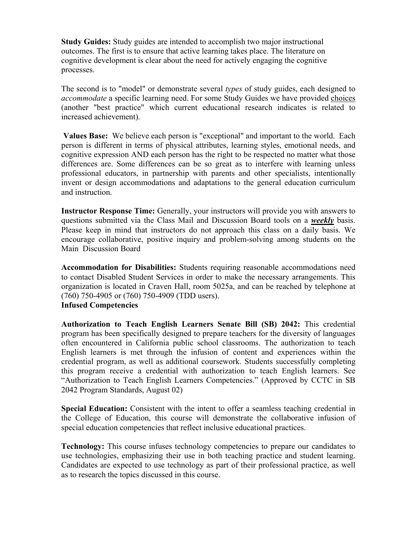**Study Guides:** Study guides are intended to accomplish two major instructional outcomes. The first is to ensure that active learning takes place. The literature on cognitive development is clear about the need for actively engaging the cognitive processes.

The second is to "model" or demonstrate several *types* of study guides, each designed to *accommodate* a specific learning need. For some Study Guides we have provided choices (another "best practice" which current educational research indicates is related to increased achievement).

**Values Base:** We believe each person is "exceptional" and important to the world. Each person is different in terms of physical attributes, learning styles, emotional needs, and cognitive expression AND each person has the right to be respected no matter what those differences are. Some differences can be so great as to interfere with learning unless professional educators, in partnership with parents and other specialists, intentionally invent or design accommodations and adaptations to the general education curriculum and instruction.

**Instructor Response Time:** Generally, your instructors will provide you with answers to questions submitted via the Class Mail and Discussion Board tools on a *weekly* basis. Please keep in mind that instructors do not approach this class on a daily basis. We encourage collaborative, positive inquiry and problem-solving among students on the Main Discussion Board

**Accommodation for Disabilities:** Students requiring reasonable accommodations need to contact Disabled Student Services in order to make the necessary arrangements. This organization is located in Craven Hall, room 5025a, and can be reached by telephone at (760) 750-4905 or (760) 750-4909 (TDD users). **Infused Competencies**

## **Authorization to Teach English Learners Senate Bill (SB) 2042:** This credential program has been specifically designed to prepare teachers for the diversity of languages often encountered in California public school classrooms. The authorization to teach English learners is met through the infusion of content and experiences within the credential program, as well as additional coursework. Students successfully completing this program receive a credential with authorization to teach English learners. See "Authorization to Teach English Learners Competencies." (Approved by CCTC in SB 2042 Program Standards, August 02)

**Special Education:** Consistent with the intent to offer a seamless teaching credential in the College of Education, this course will demonstrate the collaborative infusion of special education competencies that reflect inclusive educational practices.

**Technology:** This course infuses technology competencies to prepare our candidates to use technologies, emphasizing their use in both teaching practice and student learning. Candidates are expected to use technology as part of their professional practice, as well as to research the topics discussed in this course.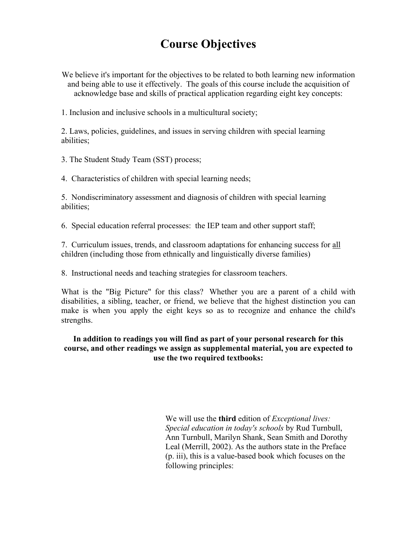# **Course Objectives**

We believe it's important for the objectives to be related to both learning new information and being able to use it effectively. The goals of this course include the acquisition of acknowledge base and skills of practical application regarding eight key concepts:

1. Inclusion and inclusive schools in a multicultural society;

2. Laws, policies, guidelines, and issues in serving children with special learning abilities;

3. The Student Study Team (SST) process;

4. Characteristics of children with special learning needs;

5. Nondiscriminatory assessment and diagnosis of children with special learning abilities;

6. Special education referral processes: the IEP team and other support staff;

7. Curriculum issues, trends, and classroom adaptations for enhancing success for all children (including those from ethnically and linguistically diverse families)

8. Instructional needs and teaching strategies for classroom teachers.

What is the "Big Picture" for this class? Whether you are a parent of a child with disabilities, a sibling, teacher, or friend, we believe that the highest distinction you can make is when you apply the eight keys so as to recognize and enhance the child's strengths.

## **In addition to readings you will find as part of your personal research for this course, and other readings we assign as supplemental material, you are expected to use the two required textbooks:**

We will use the **third** edition of *Exceptional lives: Special education in today's schools* by Rud Turnbull, Ann Turnbull, Marilyn Shank, Sean Smith and Dorothy Leal (Merrill, 2002). As the authors state in the Preface (p. iii), this is a value-based book which focuses on the following principles: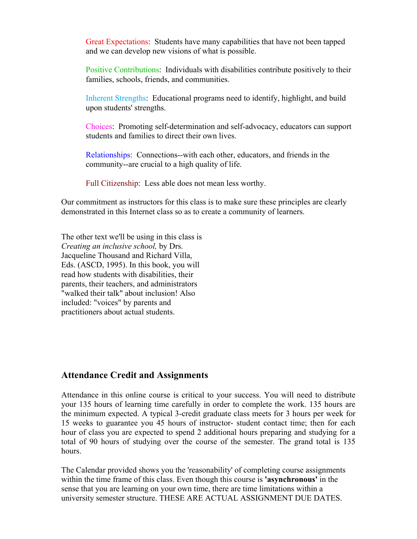Great Expectations: Students have many capabilities that have not been tapped and we can develop new visions of what is possible.

Positive Contributions: Individuals with disabilities contribute positively to their families, schools, friends, and communities.

Inherent Strengths: Educational programs need to identify, highlight, and build upon students' strengths.

Choices: Promoting self-determination and self-advocacy, educators can support students and families to direct their own lives.

Relationships: Connections--with each other, educators, and friends in the community--are crucial to a high quality of life.

Full Citizenship: Less able does not mean less worthy.

Our commitment as instructors for this class is to make sure these principles are clearly demonstrated in this Internet class so as to create a community of learners.

The other text we'll be using in this class is *Creating an inclusive school,* by Drs. Jacqueline Thousand and Richard Villa, Eds. (ASCD, 1995). In this book, you will read how students with disabilities, their parents, their teachers, and administrators "walked their talk" about inclusion! Also included: "voices" by parents and practitioners about actual students.

# **Attendance Credit and Assignments**

Attendance in this online course is critical to your success. You will need to distribute your 135 hours of learning time carefully in order to complete the work. 135 hours are the minimum expected. A typical 3-credit graduate class meets for 3 hours per week for 15 weeks to guarantee you 45 hours of instructor- student contact time; then for each hour of class you are expected to spend 2 additional hours preparing and studying for a total of 90 hours of studying over the course of the semester. The grand total is 135 hours.

The Calendar provided shows you the 'reasonability' of completing course assignments within the time frame of this class. Even though this course is **'asynchronous'** in the sense that you are learning on your own time, there are time limitations within a university semester structure. THESE ARE ACTUAL ASSIGNMENT DUE DATES.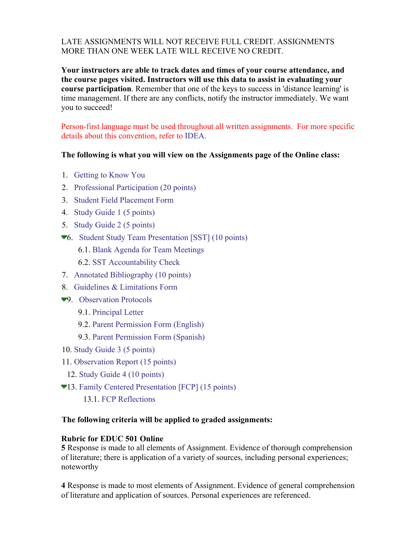# LATE ASSIGNMENTS WILL NOT RECEIVE FULL CREDIT. ASSIGNMENTS MORE THAN ONE WEEK LATE WILL RECEIVE NO CREDIT.

**Your instructors are able to track dates and times of your course attendance, and the course pages visited. Instructors will use this data to assist in evaluating your course participation**. Remember that one of the keys to success in 'distance learning' is time management. If there are any conflicts, notify the instructor immediately. We want you to succeed!

Person-first language must be used throughout all written assignments. For more specific details about this convention, refer to IDEA.

#### **The following is what you will view on the Assignments page of the Online class:**

- 1. Getting to Know You
- 2. Professional Participation (20 points)
- 3. Student Field Placement Form
- 4. Study Guide 1 (5 points)
- 5. Study Guide 2 (5 points)
- 6. Student Study Team Presentation [SST] (10 points)

6.1. Blank Agenda for Team Meetings

6.2. SST Accountability Check

- 7. Annotated Bibliography (10 points)
- 8. Guidelines & Limitations Form
- <sup>9</sup>. Observation Protocols
	- 9.1. Principal Letter
	- 9.2. Parent Permission Form (English)

9.3. Parent Permission Form (Spanish)

- 10. Study Guide 3 (5 points)
- 11. Observation Report (15 points)
- 12. Study Guide 4 (10 points)
- 13. Family Centered Presentation [FCP] (15 points)
	- 13.1. FCP Reflections

#### **The following criteria will be applied to graded assignments:**

#### **Rubric for EDUC 501 Online**

**5** Response is made to all elements of Assignment. Evidence of thorough comprehension of literature; there is application of a variety of sources, including personal experiences; noteworthy

**4** Response is made to most elements of Assignment. Evidence of general comprehension of literature and application of sources. Personal experiences are referenced.